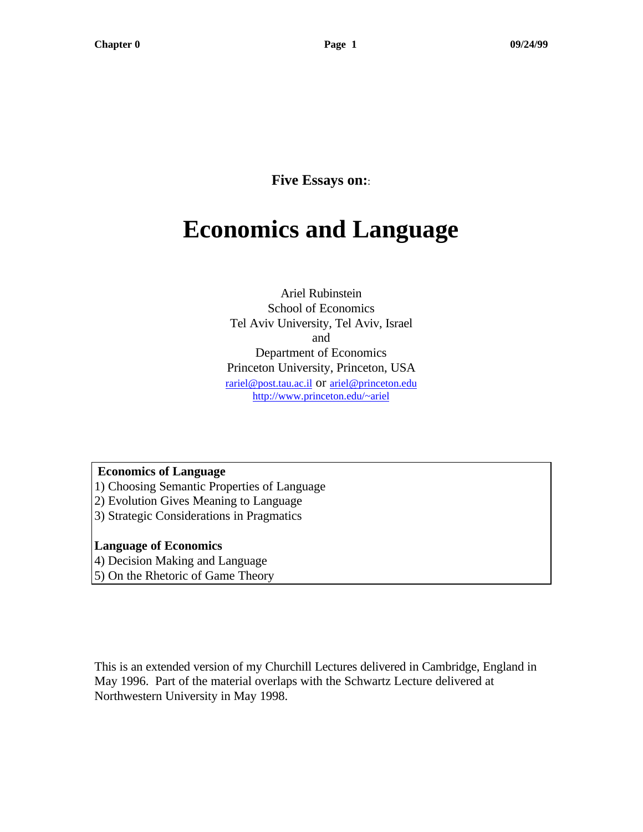**Five Essays on:**:

# **Economics and Language**

Ariel Rubinstein School of Economics Tel Aviv University, Tel Aviv, Israel and Department of Economics Princeton University, Princeton, USA rariel@post.tau.ac.il or ariel@princeton.edu http://www.princeton.edu/~ariel

 **Economics of Language**

- 1) Choosing Semantic Properties of Language
- 2) Evolution Gives Meaning to Language
- 3) Strategic Considerations in Pragmatics

#### **Language of Economics**

4) Decision Making and Language

5) On the Rhetoric of Game Theory

This is an extended version of my Churchill Lectures delivered in Cambridge, England in May 1996. Part of the material overlaps with the Schwartz Lecture delivered at Northwestern University in May 1998.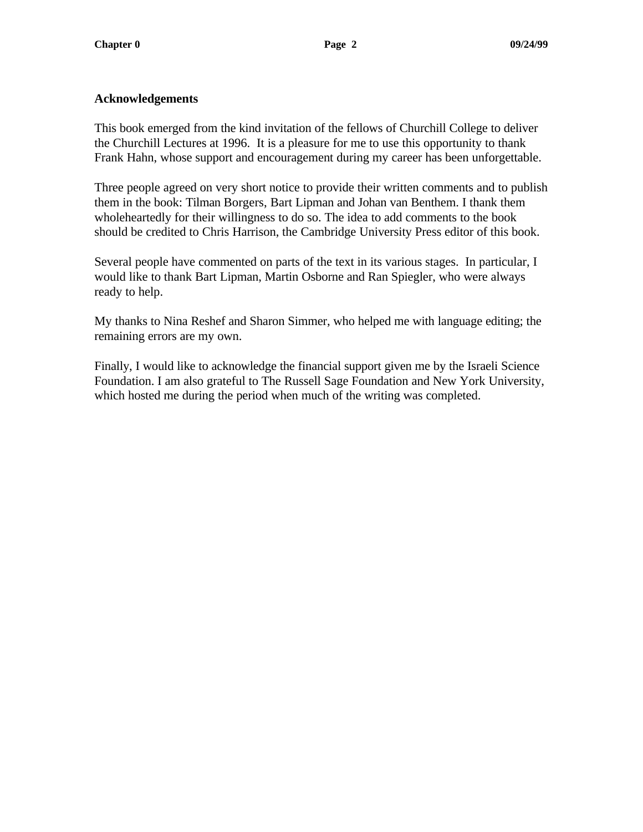### **Acknowledgements**

This book emerged from the kind invitation of the fellows of Churchill College to deliver the Churchill Lectures at 1996. It is a pleasure for me to use this opportunity to thank Frank Hahn, whose support and encouragement during my career has been unforgettable.

Three people agreed on very short notice to provide their written comments and to publish them in the book: Tilman Borgers, Bart Lipman and Johan van Benthem. I thank them wholeheartedly for their willingness to do so. The idea to add comments to the book should be credited to Chris Harrison, the Cambridge University Press editor of this book.

Several people have commented on parts of the text in its various stages. In particular, I would like to thank Bart Lipman, Martin Osborne and Ran Spiegler, who were always ready to help.

My thanks to Nina Reshef and Sharon Simmer, who helped me with language editing; the remaining errors are my own.

Finally, I would like to acknowledge the financial support given me by the Israeli Science Foundation. I am also grateful to The Russell Sage Foundation and New York University, which hosted me during the period when much of the writing was completed.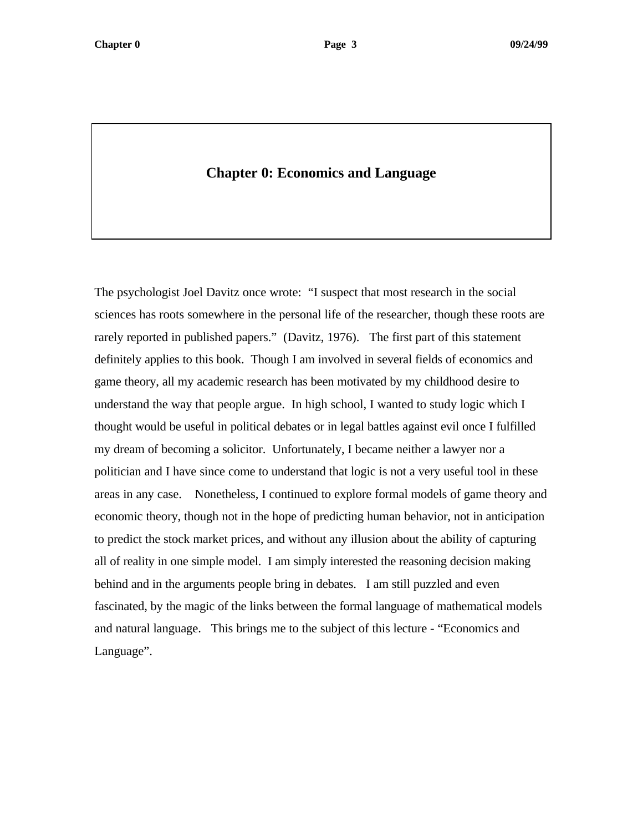# **Chapter 0: Economics and Language**

The psychologist Joel Davitz once wrote: "I suspect that most research in the social sciences has roots somewhere in the personal life of the researcher, though these roots are rarely reported in published papers." (Davitz, 1976). The first part of this statement definitely applies to this book. Though I am involved in several fields of economics and game theory, all my academic research has been motivated by my childhood desire to understand the way that people argue. In high school, I wanted to study logic which I thought would be useful in political debates or in legal battles against evil once I fulfilled my dream of becoming a solicitor. Unfortunately, I became neither a lawyer nor a politician and I have since come to understand that logic is not a very useful tool in these areas in any case. Nonetheless, I continued to explore formal models of game theory and economic theory, though not in the hope of predicting human behavior, not in anticipation to predict the stock market prices, and without any illusion about the ability of capturing all of reality in one simple model. I am simply interested the reasoning decision making behind and in the arguments people bring in debates. I am still puzzled and even fascinated, by the magic of the links between the formal language of mathematical models and natural language. This brings me to the subject of this lecture - "Economics and Language".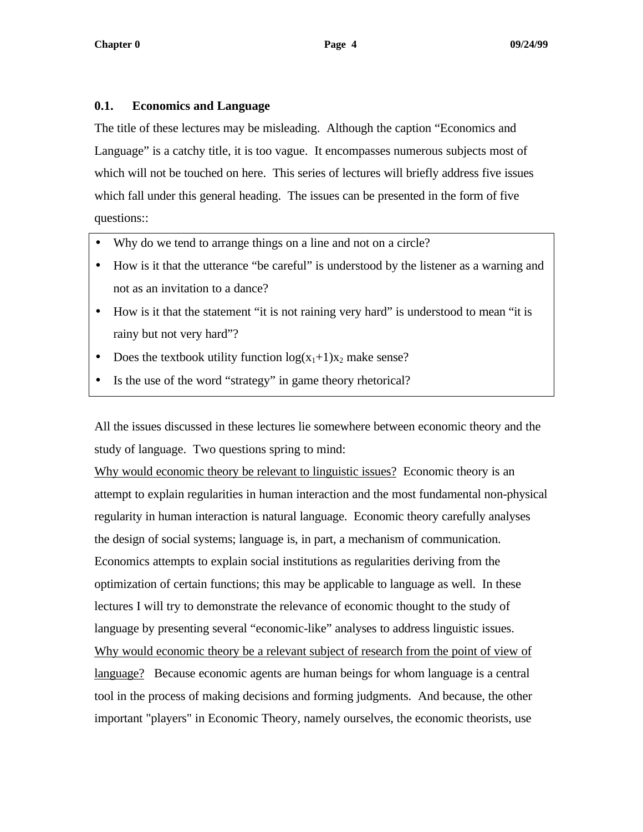#### **0.1. Economics and Language**

The title of these lectures may be misleading. Although the caption "Economics and Language" is a catchy title, it is too vague. It encompasses numerous subjects most of which will not be touched on here. This series of lectures will briefly address five issues which fall under this general heading. The issues can be presented in the form of five questions::

- Why do we tend to arrange things on a line and not on a circle?
- How is it that the utterance "be careful" is understood by the listener as a warning and not as an invitation to a dance?
- How is it that the statement "it is not raining very hard" is understood to mean "it is rainy but not very hard"?
- Does the textbook utility function  $log(x_1+1)x_2$  make sense?
- Is the use of the word "strategy" in game theory rhetorical?

All the issues discussed in these lectures lie somewhere between economic theory and the study of language. Two questions spring to mind:

Why would economic theory be relevant to linguistic issues? Economic theory is an attempt to explain regularities in human interaction and the most fundamental non-physical regularity in human interaction is natural language. Economic theory carefully analyses the design of social systems; language is, in part, a mechanism of communication. Economics attempts to explain social institutions as regularities deriving from the optimization of certain functions; this may be applicable to language as well. In these lectures I will try to demonstrate the relevance of economic thought to the study of language by presenting several "economic-like" analyses to address linguistic issues. Why would economic theory be a relevant subject of research from the point of view of language? Because economic agents are human beings for whom language is a central tool in the process of making decisions and forming judgments. And because, the other important "players" in Economic Theory, namely ourselves, the economic theorists, use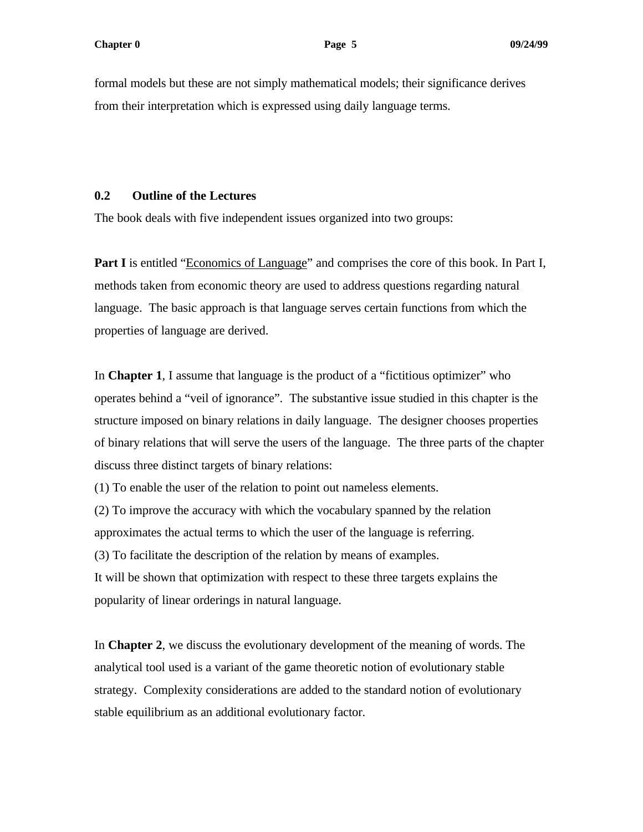formal models but these are not simply mathematical models; their significance derives from their interpretation which is expressed using daily language terms.

#### **0.2 Outline of the Lectures**

The book deals with five independent issues organized into two groups:

**Part I** is entitled "Economics of Language" and comprises the core of this book. In Part I, methods taken from economic theory are used to address questions regarding natural language. The basic approach is that language serves certain functions from which the properties of language are derived.

In **Chapter 1**, I assume that language is the product of a "fictitious optimizer" who operates behind a "veil of ignorance". The substantive issue studied in this chapter is the structure imposed on binary relations in daily language. The designer chooses properties of binary relations that will serve the users of the language. The three parts of the chapter discuss three distinct targets of binary relations:

(1) To enable the user of the relation to point out nameless elements.

(2) To improve the accuracy with which the vocabulary spanned by the relation approximates the actual terms to which the user of the language is referring.

(3) To facilitate the description of the relation by means of examples.

It will be shown that optimization with respect to these three targets explains the popularity of linear orderings in natural language.

In **Chapter 2**, we discuss the evolutionary development of the meaning of words. The analytical tool used is a variant of the game theoretic notion of evolutionary stable strategy. Complexity considerations are added to the standard notion of evolutionary stable equilibrium as an additional evolutionary factor.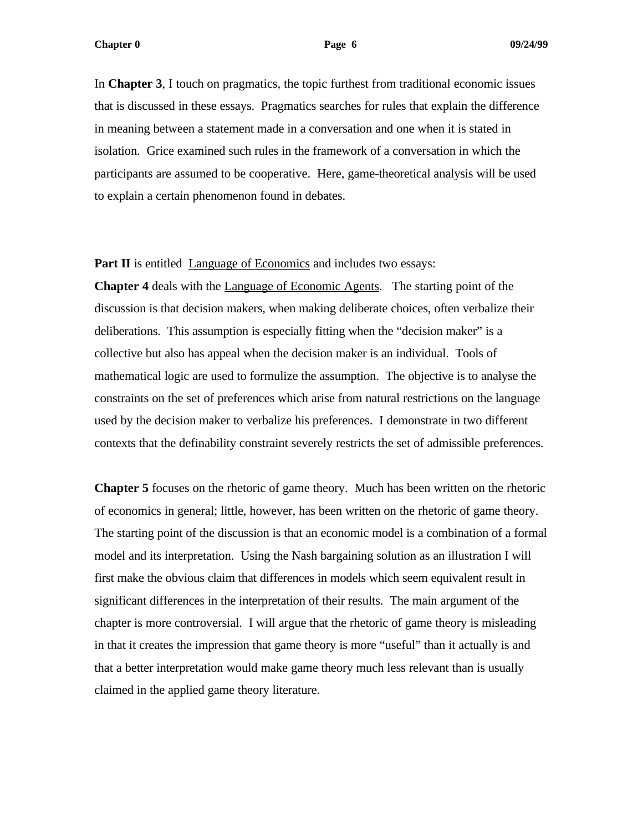**Chapter 0 09/24/99 Page 6 09/24/99** 

In **Chapter 3**, I touch on pragmatics, the topic furthest from traditional economic issues that is discussed in these essays. Pragmatics searches for rules that explain the difference in meaning between a statement made in a conversation and one when it is stated in isolation. Grice examined such rules in the framework of a conversation in which the participants are assumed to be cooperative. Here, game-theoretical analysis will be used to explain a certain phenomenon found in debates.

**Part II** is entitled Language of Economics and includes two essays:

**Chapter 4** deals with the Language of Economic Agents. The starting point of the discussion is that decision makers, when making deliberate choices, often verbalize their deliberations. This assumption is especially fitting when the "decision maker" is a collective but also has appeal when the decision maker is an individual. Tools of mathematical logic are used to formulize the assumption. The objective is to analyse the constraints on the set of preferences which arise from natural restrictions on the language used by the decision maker to verbalize his preferences. I demonstrate in two different contexts that the definability constraint severely restricts the set of admissible preferences.

**Chapter 5** focuses on the rhetoric of game theory. Much has been written on the rhetoric of economics in general; little, however, has been written on the rhetoric of game theory. The starting point of the discussion is that an economic model is a combination of a formal model and its interpretation. Using the Nash bargaining solution as an illustration I will first make the obvious claim that differences in models which seem equivalent result in significant differences in the interpretation of their results. The main argument of the chapter is more controversial. I will argue that the rhetoric of game theory is misleading in that it creates the impression that game theory is more "useful" than it actually is and that a better interpretation would make game theory much less relevant than is usually claimed in the applied game theory literature.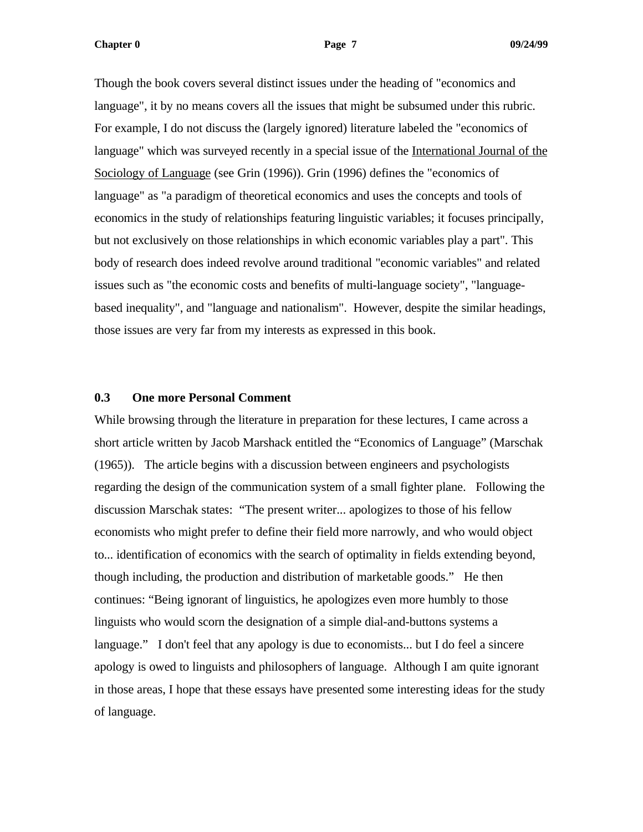**Chapter 0 29/24/99 Page 7** 2022/24/99

Though the book covers several distinct issues under the heading of "economics and language", it by no means covers all the issues that might be subsumed under this rubric. For example, I do not discuss the (largely ignored) literature labeled the "economics of language" which was surveyed recently in a special issue of the International Journal of the Sociology of Language (see Grin (1996)). Grin (1996) defines the "economics of language" as "a paradigm of theoretical economics and uses the concepts and tools of economics in the study of relationships featuring linguistic variables; it focuses principally, but not exclusively on those relationships in which economic variables play a part". This body of research does indeed revolve around traditional "economic variables" and related issues such as "the economic costs and benefits of multi-language society", "languagebased inequality", and "language and nationalism". However, despite the similar headings, those issues are very far from my interests as expressed in this book.

#### **0.3 One more Personal Comment**

While browsing through the literature in preparation for these lectures, I came across a short article written by Jacob Marshack entitled the "Economics of Language" (Marschak (1965)). The article begins with a discussion between engineers and psychologists regarding the design of the communication system of a small fighter plane. Following the discussion Marschak states: "The present writer... apologizes to those of his fellow economists who might prefer to define their field more narrowly, and who would object to... identification of economics with the search of optimality in fields extending beyond, though including, the production and distribution of marketable goods." He then continues: "Being ignorant of linguistics, he apologizes even more humbly to those linguists who would scorn the designation of a simple dial-and-buttons systems a language." I don't feel that any apology is due to economists... but I do feel a sincere apology is owed to linguists and philosophers of language. Although I am quite ignorant in those areas, I hope that these essays have presented some interesting ideas for the study of language.